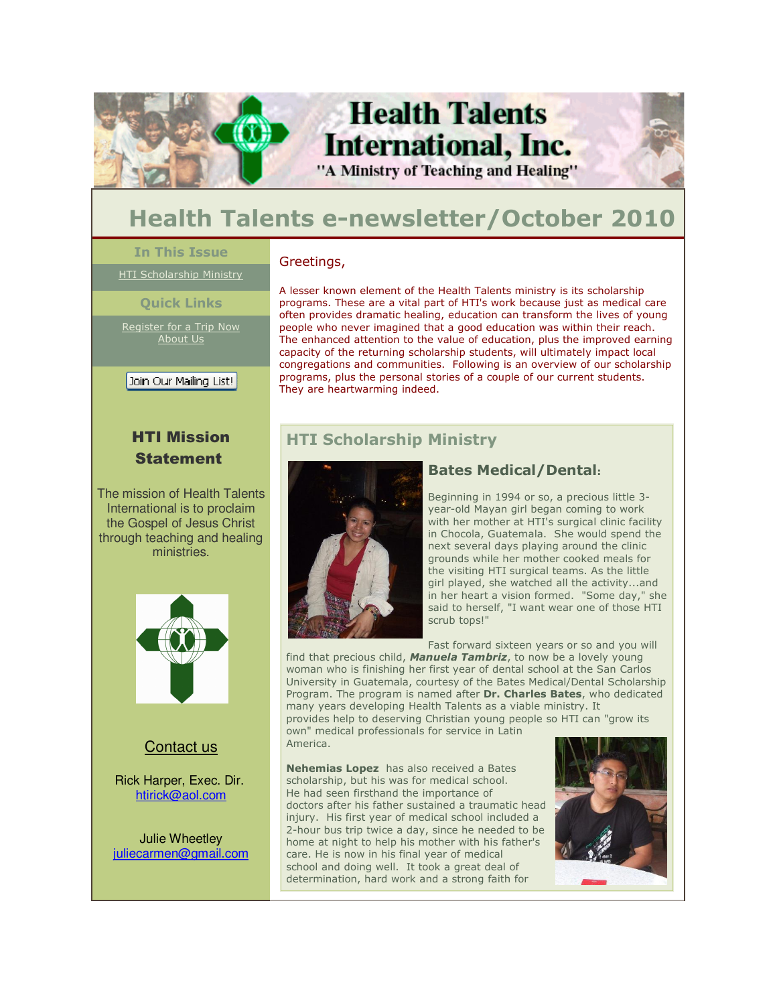

# **Health Talents International, Inc.** "A Ministry of Teaching and Healing"

# **Health Talents e-newsletter/October 2010**

#### **In This Issue**

HTI Scholarship Ministry

#### **Quick Links**

Register for a Trip Now About Us

Join Our Mailing List! Ī

### HTI Mission **Statement**

The mission of Health Talents International is to proclaim the Gospel of Jesus Christ through teaching and healing ministries.



#### Contact us

Rick Harper, Exec. Dir. htirick@aol.com

Julie Wheetley juliecarmen@gmail.com

#### Greetings,

A lesser known element of the Health Talents ministry is its scholarship programs. These are a vital part of HTI's work because just as medical care often provides dramatic healing, education can transform the lives of young people who never imagined that a good education was within their reach. The enhanced attention to the value of education, plus the improved earning capacity of the returning scholarship students, will ultimately impact local congregations and communities. Following is an overview of our scholarship programs, plus the personal stories of a couple of our current students. They are heartwarming indeed.

## **HTI Scholarship Ministry**



#### **Bates Medical/Dental:**

Beginning in 1994 or so, a precious little 3 year-old Mayan girl began coming to work with her mother at HTI's surgical clinic facility in Chocola, Guatemala. She would spend the next several days playing around the clinic grounds while her mother cooked meals for the visiting HTI surgical teams. As the little girl played, she watched all the activity...and in her heart a vision formed. "Some day," she said to herself, "I want wear one of those HTI scrub tops!"

Fast forward sixteen years or so and you will

find that precious child, *Manuela Tambriz*, to now be a lovely young woman who is finishing her first year of dental school at the San Carlos University in Guatemala, courtesy of the Bates Medical/Dental Scholarship Program. The program is named after **Dr. Charles Bates**, who dedicated many years developing Health Talents as a viable ministry. It

provides help to deserving Christian young people so HTI can "grow its own" medical professionals for service in Latin America.

**Nehemias Lopez** has also received a Bates scholarship, but his was for medical school. He had seen firsthand the importance of doctors after his father sustained a traumatic head injury. His first year of medical school included a 2-hour bus trip twice a day, since he needed to be home at night to help his mother with his father's care. He is now in his final year of medical school and doing well. It took a great deal of determination, hard work and a strong faith for

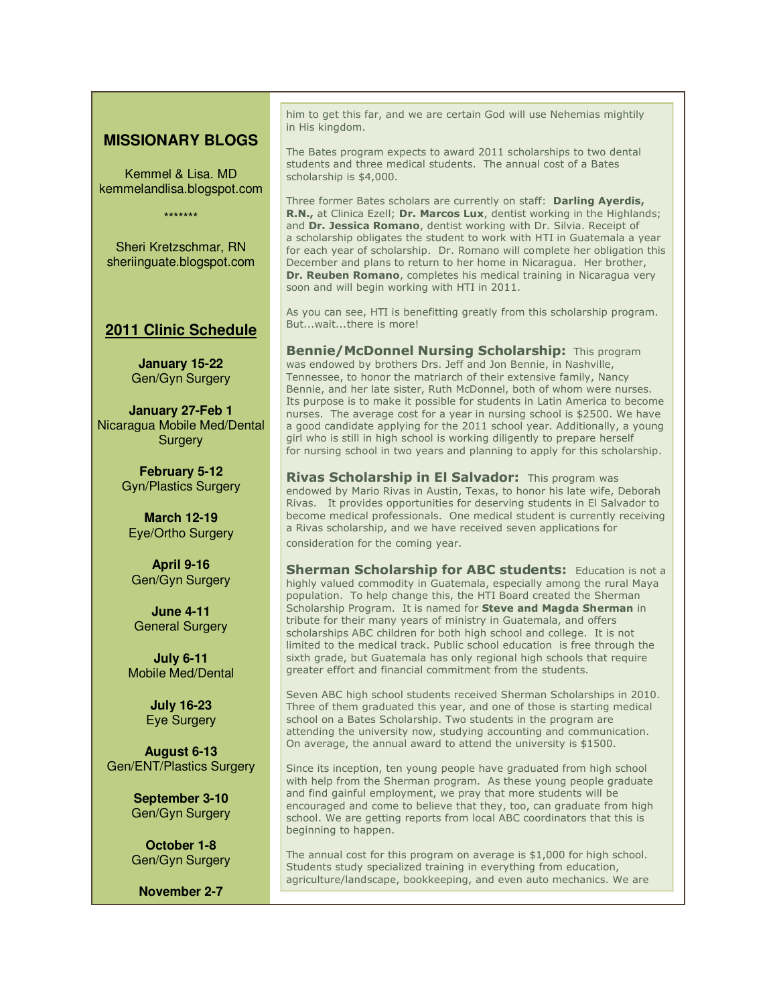#### **MISSIONARY BLOGS**

Kemmel & Lisa. MD kemmelandlisa.blogspot.com

\*\*\*\*\*\*\*

Sheri Kretzschmar, RN sheriinguate.blogspot.com

#### **2011 Clinic Schedule**

**January 15-22**  Gen/Gyn Surgery

**January 27-Feb 1** Nicaragua Mobile Med/Dental **Surgery** 

> **February 5-12** Gyn/Plastics Surgery

**March 12-19** Eye/Ortho Surgery

**April 9-16** Gen/Gyn Surgery

**June 4-11** General Surgery

**July 6-11** Mobile Med/Dental

> **July 16-23** Eye Surgery

**August 6-13** Gen/ENT/Plastics Surgery

> **September 3-10** Gen/Gyn Surgery

**October 1-8** Gen/Gyn Surgery

**November 2-7**

him to get this far, and we are certain God will use Nehemias mightily in His kingdom.

The Bates program expects to award 2011 scholarships to two dental students and three medical students. The annual cost of a Bates scholarship is \$4,000.

Three former Bates scholars are currently on staff: **Darling Ayerdis, R.N.,** at Clinica Ezell; **Dr. Marcos Lux**, dentist working in the Highlands; and **Dr. Jessica Romano**, dentist working with Dr. Silvia. Receipt of a scholarship obligates the student to work with HTI in Guatemala a year for each year of scholarship. Dr. Romano will complete her obligation this December and plans to return to her home in Nicaragua. Her brother, **Dr. Reuben Romano**, completes his medical training in Nicaragua very soon and will begin working with HTI in 2011.

As you can see, HTI is benefitting greatly from this scholarship program. But...wait...there is more!

**Bennie/McDonnel Nursing Scholarship:** This program was endowed by brothers Drs. Jeff and Jon Bennie, in Nashville, Tennessee, to honor the matriarch of their extensive family, Nancy Bennie, and her late sister, Ruth McDonnel, both of whom were nurses. Its purpose is to make it possible for students in Latin America to become nurses. The average cost for a year in nursing school is \$2500. We have a good candidate applying for the 2011 school year. Additionally, a young girl who is still in high school is working diligently to prepare herself for nursing school in two years and planning to apply for this scholarship.

**Rivas Scholarship in El Salvador:** This program was endowed by Mario Rivas in Austin, Texas, to honor his late wife, Deborah Rivas. It provides opportunities for deserving students in El Salvador to become medical professionals. One medical student is currently receiving a Rivas scholarship, and we have received seven applications for consideration for the coming year.

**Sherman Scholarship for ABC students:** Education is not a highly valued commodity in Guatemala, especially among the rural Maya population. To help change this, the HTI Board created the Sherman Scholarship Program. It is named for **Steve and Magda Sherman** in tribute for their many years of ministry in Guatemala, and offers scholarships ABC children for both high school and college. It is not limited to the medical track. Public school education is free through the sixth grade, but Guatemala has only regional high schools that require greater effort and financial commitment from the students.

Seven ABC high school students received Sherman Scholarships in 2010. Three of them graduated this year, and one of those is starting medical school on a Bates Scholarship. Two students in the program are attending the university now, studying accounting and communication. On average, the annual award to attend the university is \$1500.

Since its inception, ten young people have graduated from high school with help from the Sherman program. As these young people graduate and find gainful employment, we pray that more students will be encouraged and come to believe that they, too, can graduate from high school. We are getting reports from local ABC coordinators that this is beginning to happen.

The annual cost for this program on average is \$1,000 for high school. Students study specialized training in everything from education, agriculture/landscape, bookkeeping, and even auto mechanics. We are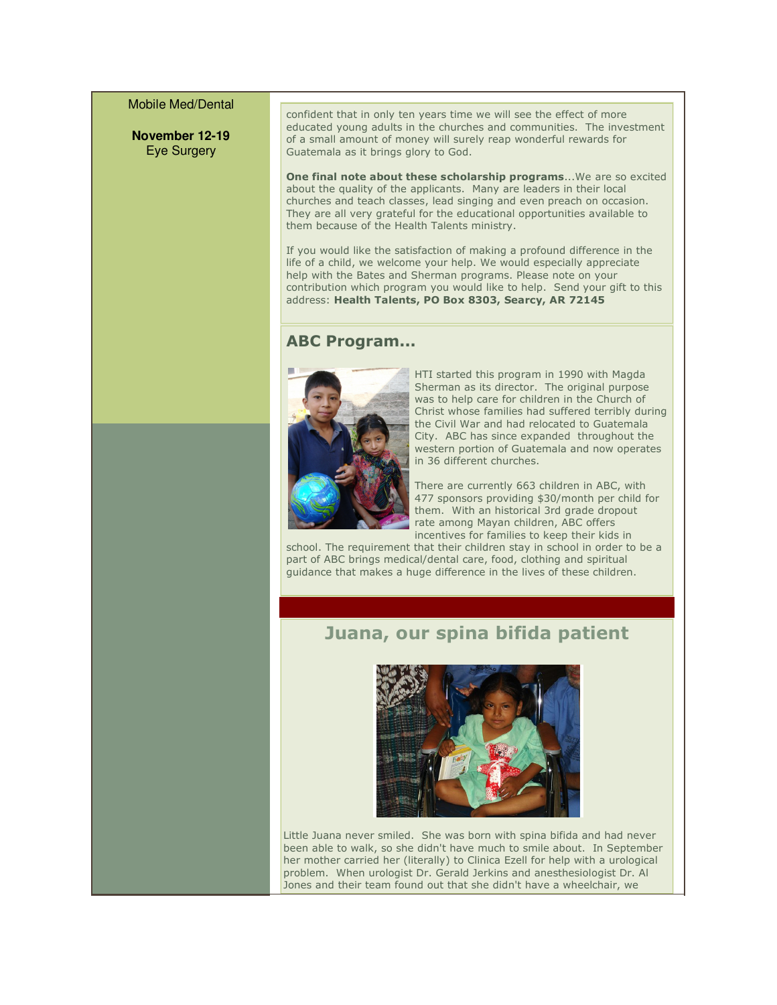#### Mobile Med/Dental

**November 12-19** Eye Surgery

confident that in only ten years time we will see the effect of more educated young adults in the churches and communities. The investment of a small amount of money will surely reap wonderful rewards for Guatemala as it brings glory to God.

**One final note about these scholarship programs**...We are so excited about the quality of the applicants. Many are leaders in their local churches and teach classes, lead singing and even preach on occasion. They are all very grateful for the educational opportunities available to them because of the Health Talents ministry.

If you would like the satisfaction of making a profound difference in the life of a child, we welcome your help. We would especially appreciate help with the Bates and Sherman programs. Please note on your contribution which program you would like to help. Send your gift to this address: **Health Talents, PO Box 8303, Searcy, AR 72145**

#### **ABC Program...**



HTI started this program in 1990 with Magda Sherman as its director. The original purpose was to help care for children in the Church of Christ whose families had suffered terribly during the Civil War and had relocated to Guatemala City. ABC has since expanded throughout the western portion of Guatemala and now operates in 36 different churches.

There are currently 663 children in ABC, with 477 sponsors providing \$30/month per child for them. With an historical 3rd grade dropout rate among Mayan children, ABC offers incentives for families to keep their kids in

school. The requirement that their children stay in school in order to be a part of ABC brings medical/dental care, food, clothing and spiritual guidance that makes a huge difference in the lives of these children.

## **Juana, our spina bifida patient**



Little Juana never smiled. She was born with spina bifida and had never been able to walk, so she didn't have much to smile about. In September her mother carried her (literally) to Clinica Ezell for help with a urological problem. When urologist Dr. Gerald Jerkins and anesthesiologist Dr. Al Jones and their team found out that she didn't have a wheelchair, we